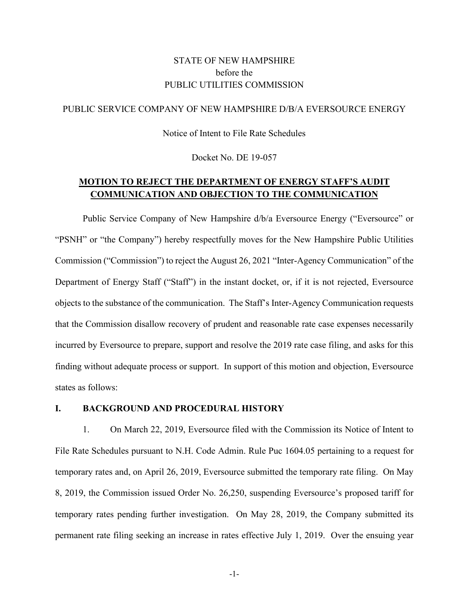## STATE OF NEW HAMPSHIRE before the PUBLIC UTILITIES COMMISSION

### PUBLIC SERVICE COMPANY OF NEW HAMPSHIRE D/B/A EVERSOURCE ENERGY

Notice of Intent to File Rate Schedules

Docket No. DE 19-057

## **MOTION TO REJECT THE DEPARTMENT OF ENERGY STAFF'S AUDIT COMMUNICATION AND OBJECTION TO THE COMMUNICATION**

Public Service Company of New Hampshire d/b/a Eversource Energy ("Eversource" or "PSNH" or "the Company") hereby respectfully moves for the New Hampshire Public Utilities Commission ("Commission") to reject the August 26, 2021 "Inter-Agency Communication" of the Department of Energy Staff ("Staff") in the instant docket, or, if it is not rejected, Eversource objects to the substance of the communication. The Staff's Inter-Agency Communication requests that the Commission disallow recovery of prudent and reasonable rate case expenses necessarily incurred by Eversource to prepare, support and resolve the 2019 rate case filing, and asks for this finding without adequate process or support. In support of this motion and objection, Eversource states as follows:

#### **I. BACKGROUND AND PROCEDURAL HISTORY**

1. On March 22, 2019, Eversource filed with the Commission its Notice of Intent to File Rate Schedules pursuant to N.H. Code Admin. Rule Puc 1604.05 pertaining to a request for temporary rates and, on April 26, 2019, Eversource submitted the temporary rate filing. On May 8, 2019, the Commission issued Order No. 26,250, suspending Eversource's proposed tariff for temporary rates pending further investigation. On May 28, 2019, the Company submitted its permanent rate filing seeking an increase in rates effective July 1, 2019. Over the ensuing year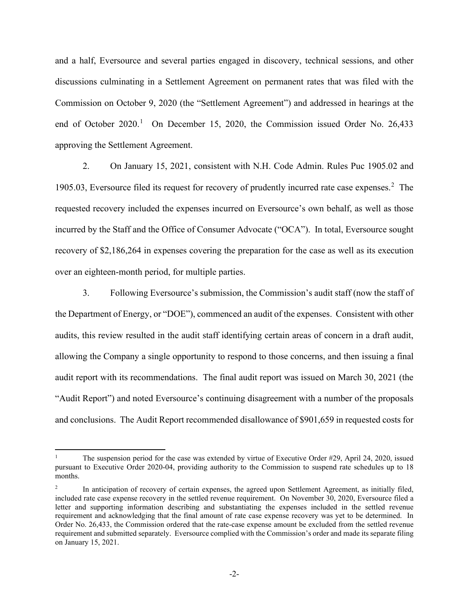and a half, Eversource and several parties engaged in discovery, technical sessions, and other discussions culminating in a Settlement Agreement on permanent rates that was filed with the Commission on October 9, 2020 (the "Settlement Agreement") and addressed in hearings at the end of October  $2020$ .<sup>[1](#page-1-0)</sup> On December 15, 2020, the Commission issued Order No. 26,433 approving the Settlement Agreement.

2. On January 15, 2021, consistent with N.H. Code Admin. Rules Puc 1905.02 and 1905.03, Eversource filed its request for recovery of prudently incurred rate case expenses.<sup>[2](#page-1-1)</sup> The requested recovery included the expenses incurred on Eversource's own behalf, as well as those incurred by the Staff and the Office of Consumer Advocate ("OCA"). In total, Eversource sought recovery of \$2,186,264 in expenses covering the preparation for the case as well as its execution over an eighteen-month period, for multiple parties.

3. Following Eversource's submission, the Commission's audit staff (now the staff of the Department of Energy, or "DOE"), commenced an audit of the expenses. Consistent with other audits, this review resulted in the audit staff identifying certain areas of concern in a draft audit, allowing the Company a single opportunity to respond to those concerns, and then issuing a final audit report with its recommendations. The final audit report was issued on March 30, 2021 (the "Audit Report") and noted Eversource's continuing disagreement with a number of the proposals and conclusions. The Audit Report recommended disallowance of \$901,659 in requested costs for

<span id="page-1-0"></span>The suspension period for the case was extended by virtue of Executive Order  $#29$ , April 24, 2020, issued pursuant to Executive Order 2020-04, providing authority to the Commission to suspend rate schedules up to 18 months.

<span id="page-1-1"></span><sup>2</sup> In anticipation of recovery of certain expenses, the agreed upon Settlement Agreement, as initially filed, included rate case expense recovery in the settled revenue requirement. On November 30, 2020, Eversource filed a letter and supporting information describing and substantiating the expenses included in the settled revenue requirement and acknowledging that the final amount of rate case expense recovery was yet to be determined. In Order No. 26,433, the Commission ordered that the rate-case expense amount be excluded from the settled revenue requirement and submitted separately. Eversource complied with the Commission's order and made its separate filing on January 15, 2021.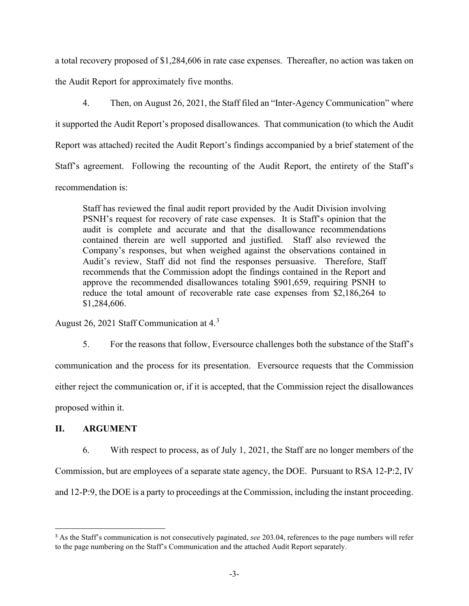a total recovery proposed of \$1,284,606 in rate case expenses. Thereafter, no action was taken on the Audit Report for approximately five months.

4. Then, on August 26, 2021, the Staff filed an "Inter-Agency Communication" where it supported the Audit Report's proposed disallowances. That communication (to which the Audit Report was attached) recited the Audit Report's findings accompanied by a brief statement of the Staff's agreement. Following the recounting of the Audit Report, the entirety of the Staff's recommendation is:

Staff has reviewed the final audit report provided by the Audit Division involving PSNH's request for recovery of rate case expenses. It is Staff's opinion that the audit is complete and accurate and that the disallowance recommendations contained therein are well supported and justified. Staff also reviewed the Company's responses, but when weighed against the observations contained in Audit's review, Staff did not find the responses persuasive. Therefore, Staff recommends that the Commission adopt the findings contained in the Report and approve the recommended disallowances totaling \$901,659, requiring PSNH to reduce the total amount of recoverable rate case expenses from \$2,186,264 to \$1,284,606.

August 26, 2021 Staff Communication at 4.<sup>[3](#page-2-0)</sup>

5. For the reasons that follow, Eversource challenges both the substance of the Staff's communication and the process for its presentation. Eversource requests that the Commission either reject the communication or, if it is accepted, that the Commission reject the disallowances proposed within it.

## **II. ARGUMENT**

6. With respect to process, as of July 1, 2021, the Staff are no longer members of the Commission, but are employees of a separate state agency, the DOE. Pursuant to RSA 12-P:2, IV and 12-P:9, the DOE is a party to proceedings at the Commission, including the instant proceeding.

<span id="page-2-0"></span><sup>3</sup> As the Staff's communication is not consecutively paginated, *see* 203.04, references to the page numbers will refer to the page numbering on the Staff's Communication and the attached Audit Report separately.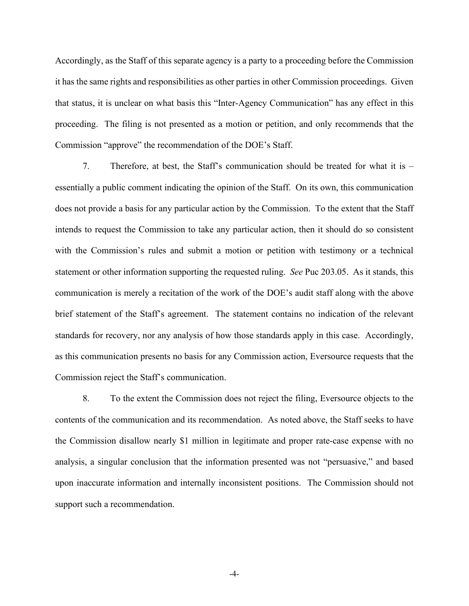Accordingly, as the Staff of this separate agency is a party to a proceeding before the Commission it has the same rights and responsibilities as other parties in other Commission proceedings. Given that status, it is unclear on what basis this "Inter-Agency Communication" has any effect in this proceeding. The filing is not presented as a motion or petition, and only recommends that the Commission "approve" the recommendation of the DOE's Staff.

7. Therefore, at best, the Staff's communication should be treated for what it is – essentially a public comment indicating the opinion of the Staff. On its own, this communication does not provide a basis for any particular action by the Commission. To the extent that the Staff intends to request the Commission to take any particular action, then it should do so consistent with the Commission's rules and submit a motion or petition with testimony or a technical statement or other information supporting the requested ruling. *See* Puc 203.05. As it stands, this communication is merely a recitation of the work of the DOE's audit staff along with the above brief statement of the Staff's agreement. The statement contains no indication of the relevant standards for recovery, nor any analysis of how those standards apply in this case. Accordingly, as this communication presents no basis for any Commission action, Eversource requests that the Commission reject the Staff's communication.

8. To the extent the Commission does not reject the filing, Eversource objects to the contents of the communication and its recommendation. As noted above, the Staff seeks to have the Commission disallow nearly \$1 million in legitimate and proper rate-case expense with no analysis, a singular conclusion that the information presented was not "persuasive," and based upon inaccurate information and internally inconsistent positions. The Commission should not support such a recommendation.

-4-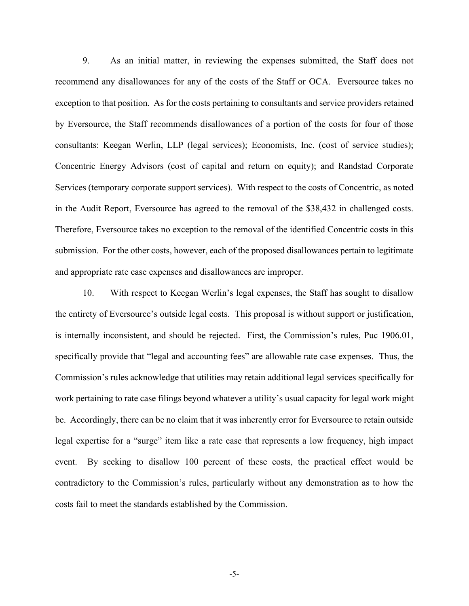9. As an initial matter, in reviewing the expenses submitted, the Staff does not recommend any disallowances for any of the costs of the Staff or OCA. Eversource takes no exception to that position. As for the costs pertaining to consultants and service providers retained by Eversource, the Staff recommends disallowances of a portion of the costs for four of those consultants: Keegan Werlin, LLP (legal services); Economists, Inc. (cost of service studies); Concentric Energy Advisors (cost of capital and return on equity); and Randstad Corporate Services (temporary corporate support services). With respect to the costs of Concentric, as noted in the Audit Report, Eversource has agreed to the removal of the \$38,432 in challenged costs. Therefore, Eversource takes no exception to the removal of the identified Concentric costs in this submission. For the other costs, however, each of the proposed disallowances pertain to legitimate and appropriate rate case expenses and disallowances are improper.

10. With respect to Keegan Werlin's legal expenses, the Staff has sought to disallow the entirety of Eversource's outside legal costs. This proposal is without support or justification, is internally inconsistent, and should be rejected. First, the Commission's rules, Puc 1906.01, specifically provide that "legal and accounting fees" are allowable rate case expenses. Thus, the Commission's rules acknowledge that utilities may retain additional legal services specifically for work pertaining to rate case filings beyond whatever a utility's usual capacity for legal work might be. Accordingly, there can be no claim that it was inherently error for Eversource to retain outside legal expertise for a "surge" item like a rate case that represents a low frequency, high impact event. By seeking to disallow 100 percent of these costs, the practical effect would be contradictory to the Commission's rules, particularly without any demonstration as to how the costs fail to meet the standards established by the Commission.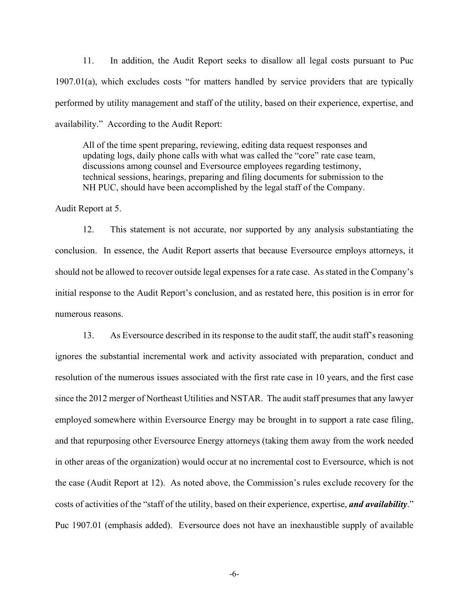11. In addition, the Audit Report seeks to disallow all legal costs pursuant to Puc 1907.01(a), which excludes costs "for matters handled by service providers that are typically performed by utility management and staff of the utility, based on their experience, expertise, and availability." According to the Audit Report:

All of the time spent preparing, reviewing, editing data request responses and updating logs, daily phone calls with what was called the "core" rate case team, discussions among counsel and Eversource employees regarding testimony, technical sessions, hearings, preparing and filing documents for submission to the NH PUC, should have been accomplished by the legal staff of the Company.

Audit Report at 5.

12. This statement is not accurate, nor supported by any analysis substantiating the conclusion. In essence, the Audit Report asserts that because Eversource employs attorneys, it should not be allowed to recover outside legal expenses for a rate case. As stated in the Company's initial response to the Audit Report's conclusion, and as restated here, this position is in error for numerous reasons.

13. As Eversource described in its response to the audit staff, the audit staff's reasoning ignores the substantial incremental work and activity associated with preparation, conduct and resolution of the numerous issues associated with the first rate case in 10 years, and the first case since the 2012 merger of Northeast Utilities and NSTAR. The audit staff presumes that any lawyer employed somewhere within Eversource Energy may be brought in to support a rate case filing, and that repurposing other Eversource Energy attorneys (taking them away from the work needed in other areas of the organization) would occur at no incremental cost to Eversource, which is not the case (Audit Report at 12). As noted above, the Commission's rules exclude recovery for the costs of activities of the "staff of the utility, based on their experience, expertise, *and availability*." Puc 1907.01 (emphasis added). Eversource does not have an inexhaustible supply of available

-6-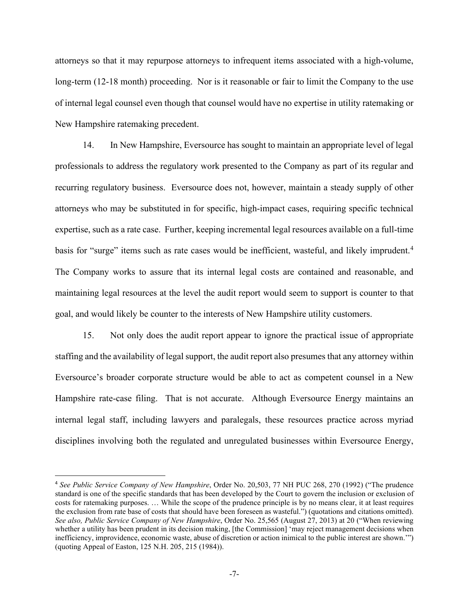attorneys so that it may repurpose attorneys to infrequent items associated with a high-volume, long-term (12-18 month) proceeding. Nor is it reasonable or fair to limit the Company to the use of internal legal counsel even though that counsel would have no expertise in utility ratemaking or New Hampshire ratemaking precedent.

14. In New Hampshire, Eversource has sought to maintain an appropriate level of legal professionals to address the regulatory work presented to the Company as part of its regular and recurring regulatory business. Eversource does not, however, maintain a steady supply of other attorneys who may be substituted in for specific, high-impact cases, requiring specific technical expertise, such as a rate case. Further, keeping incremental legal resources available on a full-time basis for "surge" items such as rate cases would be inefficient, wasteful, and likely imprudent.<sup>[4](#page-6-0)</sup> The Company works to assure that its internal legal costs are contained and reasonable, and maintaining legal resources at the level the audit report would seem to support is counter to that goal, and would likely be counter to the interests of New Hampshire utility customers.

15. Not only does the audit report appear to ignore the practical issue of appropriate staffing and the availability of legal support, the audit report also presumes that any attorney within Eversource's broader corporate structure would be able to act as competent counsel in a New Hampshire rate-case filing. That is not accurate. Although Eversource Energy maintains an internal legal staff, including lawyers and paralegals, these resources practice across myriad disciplines involving both the regulated and unregulated businesses within Eversource Energy,

<span id="page-6-0"></span><sup>4</sup> *See Public Service Company of New Hampshire*, Order No. 20,503, 77 NH PUC 268, 270 (1992) ("The prudence standard is one of the specific standards that has been developed by the Court to govern the inclusion or exclusion of costs for ratemaking purposes. … While the scope of the prudence principle is by no means clear, it at least requires the exclusion from rate base of costs that should have been foreseen as wasteful.") (quotations and citations omitted). *See also, Public Service Company of New Hampshire*, Order No. 25,565 (August 27, 2013) at 20 ("When reviewing whether a utility has been prudent in its decision making, [the Commission] 'may reject management decisions when inefficiency, improvidence, economic waste, abuse of discretion or action inimical to the public interest are shown.'") (quoting Appeal of Easton, 125 N.H. 205, 215 (1984)).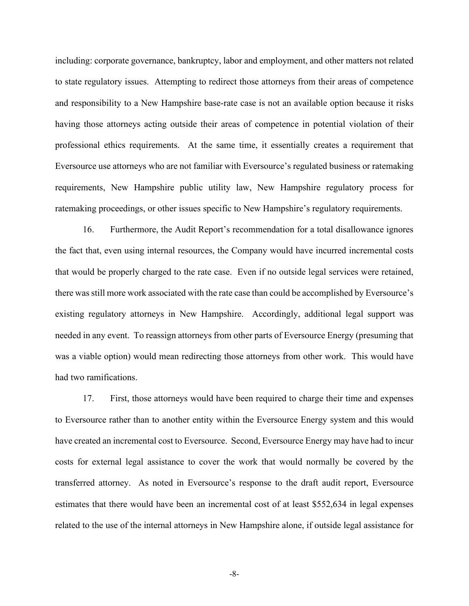including: corporate governance, bankruptcy, labor and employment, and other matters not related to state regulatory issues. Attempting to redirect those attorneys from their areas of competence and responsibility to a New Hampshire base-rate case is not an available option because it risks having those attorneys acting outside their areas of competence in potential violation of their professional ethics requirements. At the same time, it essentially creates a requirement that Eversource use attorneys who are not familiar with Eversource's regulated business or ratemaking requirements, New Hampshire public utility law, New Hampshire regulatory process for ratemaking proceedings, or other issues specific to New Hampshire's regulatory requirements.

16. Furthermore, the Audit Report's recommendation for a total disallowance ignores the fact that, even using internal resources, the Company would have incurred incremental costs that would be properly charged to the rate case. Even if no outside legal services were retained, there was still more work associated with the rate case than could be accomplished by Eversource's existing regulatory attorneys in New Hampshire. Accordingly, additional legal support was needed in any event. To reassign attorneys from other parts of Eversource Energy (presuming that was a viable option) would mean redirecting those attorneys from other work. This would have had two ramifications.

17. First, those attorneys would have been required to charge their time and expenses to Eversource rather than to another entity within the Eversource Energy system and this would have created an incremental cost to Eversource. Second, Eversource Energy may have had to incur costs for external legal assistance to cover the work that would normally be covered by the transferred attorney. As noted in Eversource's response to the draft audit report, Eversource estimates that there would have been an incremental cost of at least \$552,634 in legal expenses related to the use of the internal attorneys in New Hampshire alone, if outside legal assistance for

-8-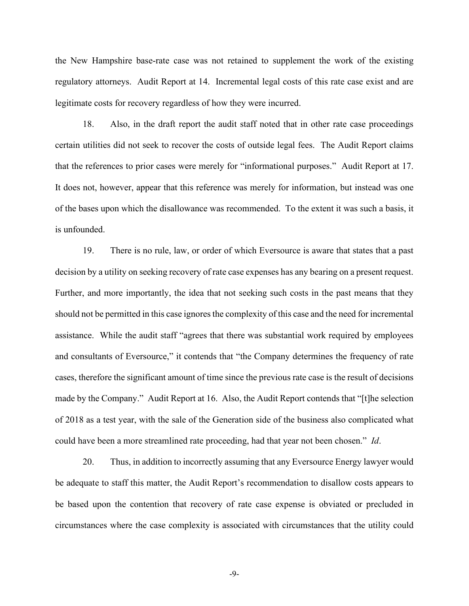the New Hampshire base-rate case was not retained to supplement the work of the existing regulatory attorneys. Audit Report at 14. Incremental legal costs of this rate case exist and are legitimate costs for recovery regardless of how they were incurred.

18. Also, in the draft report the audit staff noted that in other rate case proceedings certain utilities did not seek to recover the costs of outside legal fees. The Audit Report claims that the references to prior cases were merely for "informational purposes." Audit Report at 17. It does not, however, appear that this reference was merely for information, but instead was one of the bases upon which the disallowance was recommended. To the extent it was such a basis, it is unfounded.

19. There is no rule, law, or order of which Eversource is aware that states that a past decision by a utility on seeking recovery of rate case expenses has any bearing on a present request. Further, and more importantly, the idea that not seeking such costs in the past means that they should not be permitted in this case ignores the complexity of this case and the need for incremental assistance. While the audit staff "agrees that there was substantial work required by employees and consultants of Eversource," it contends that "the Company determines the frequency of rate cases, therefore the significant amount of time since the previous rate case is the result of decisions made by the Company." Audit Report at 16. Also, the Audit Report contends that "[t]he selection of 2018 as a test year, with the sale of the Generation side of the business also complicated what could have been a more streamlined rate proceeding, had that year not been chosen." *Id*.

20. Thus, in addition to incorrectly assuming that any Eversource Energy lawyer would be adequate to staff this matter, the Audit Report's recommendation to disallow costs appears to be based upon the contention that recovery of rate case expense is obviated or precluded in circumstances where the case complexity is associated with circumstances that the utility could

-9-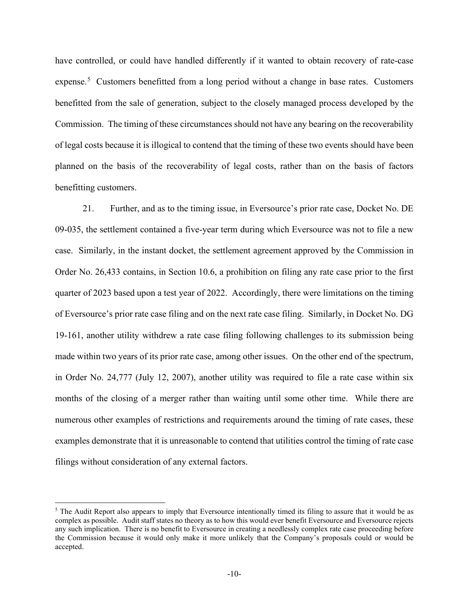have controlled, or could have handled differently if it wanted to obtain recovery of rate-case expense.<sup>[5](#page-9-0)</sup> Customers benefitted from a long period without a change in base rates. Customers benefitted from the sale of generation, subject to the closely managed process developed by the Commission. The timing of these circumstances should not have any bearing on the recoverability of legal costs because it is illogical to contend that the timing of these two events should have been planned on the basis of the recoverability of legal costs, rather than on the basis of factors benefitting customers.

21. Further, and as to the timing issue, in Eversource's prior rate case, Docket No. DE 09-035, the settlement contained a five-year term during which Eversource was not to file a new case. Similarly, in the instant docket, the settlement agreement approved by the Commission in Order No. 26,433 contains, in Section 10.6, a prohibition on filing any rate case prior to the first quarter of 2023 based upon a test year of 2022. Accordingly, there were limitations on the timing of Eversource's prior rate case filing and on the next rate case filing. Similarly, in Docket No. DG 19-161, another utility withdrew a rate case filing following challenges to its submission being made within two years of its prior rate case, among other issues. On the other end of the spectrum, in Order No. 24,777 (July 12, 2007), another utility was required to file a rate case within six months of the closing of a merger rather than waiting until some other time. While there are numerous other examples of restrictions and requirements around the timing of rate cases, these examples demonstrate that it is unreasonable to contend that utilities control the timing of rate case filings without consideration of any external factors.

<span id="page-9-0"></span><sup>&</sup>lt;sup>5</sup> The Audit Report also appears to imply that Eversource intentionally timed its filing to assure that it would be as complex as possible. Audit staff states no theory as to how this would ever benefit Eversource and Eversource rejects any such implication. There is no benefit to Eversource in creating a needlessly complex rate case proceeding before the Commission because it would only make it more unlikely that the Company's proposals could or would be accepted.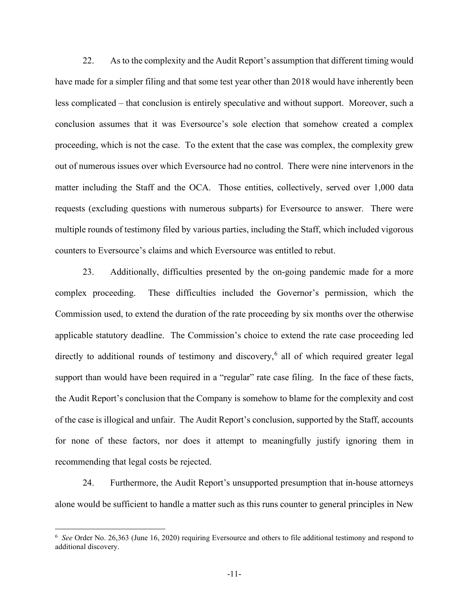22. As to the complexity and the Audit Report's assumption that different timing would have made for a simpler filing and that some test year other than 2018 would have inherently been less complicated – that conclusion is entirely speculative and without support. Moreover, such a conclusion assumes that it was Eversource's sole election that somehow created a complex proceeding, which is not the case. To the extent that the case was complex, the complexity grew out of numerous issues over which Eversource had no control. There were nine intervenors in the matter including the Staff and the OCA. Those entities, collectively, served over 1,000 data requests (excluding questions with numerous subparts) for Eversource to answer. There were multiple rounds of testimony filed by various parties, including the Staff, which included vigorous counters to Eversource's claims and which Eversource was entitled to rebut.

23. Additionally, difficulties presented by the on-going pandemic made for a more complex proceeding. These difficulties included the Governor's permission, which the Commission used, to extend the duration of the rate proceeding by six months over the otherwise applicable statutory deadline. The Commission's choice to extend the rate case proceeding led directly to additional rounds of testimony and discovery, [6](#page-10-0) all of which required greater legal support than would have been required in a "regular" rate case filing. In the face of these facts, the Audit Report's conclusion that the Company is somehow to blame for the complexity and cost of the case is illogical and unfair. The Audit Report's conclusion, supported by the Staff, accounts for none of these factors, nor does it attempt to meaningfully justify ignoring them in recommending that legal costs be rejected.

24. Furthermore, the Audit Report's unsupported presumption that in-house attorneys alone would be sufficient to handle a matter such as this runs counter to general principles in New

<span id="page-10-0"></span><sup>&</sup>lt;sup>6</sup> See Order No. 26,363 (June 16, 2020) requiring Eversource and others to file additional testimony and respond to additional discovery.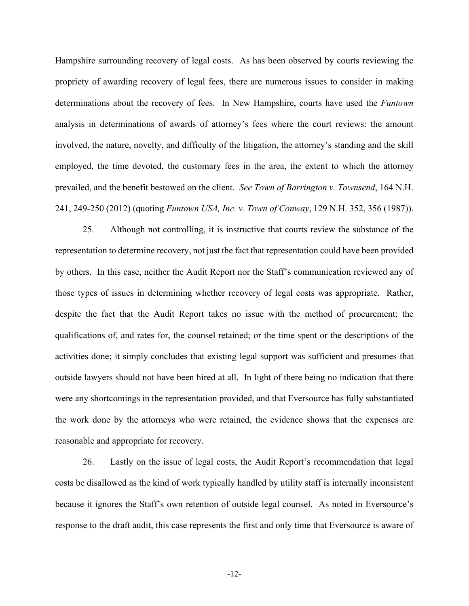Hampshire surrounding recovery of legal costs. As has been observed by courts reviewing the propriety of awarding recovery of legal fees, there are numerous issues to consider in making determinations about the recovery of fees. In New Hampshire, courts have used the *Funtown* analysis in determinations of awards of attorney's fees where the court reviews: the amount involved, the nature, novelty, and difficulty of the litigation, the attorney's standing and the skill employed, the time devoted, the customary fees in the area, the extent to which the attorney prevailed, and the benefit bestowed on the client. *See Town of Barrington v. Townsend*, 164 N.H. 241, 249-250 (2012) (quoting *Funtown USA, Inc. v. Town of Conway*, 129 N.H. 352, 356 (1987)).

25. Although not controlling, it is instructive that courts review the substance of the representation to determine recovery, not just the fact that representation could have been provided by others. In this case, neither the Audit Report nor the Staff's communication reviewed any of those types of issues in determining whether recovery of legal costs was appropriate. Rather, despite the fact that the Audit Report takes no issue with the method of procurement; the qualifications of, and rates for, the counsel retained; or the time spent or the descriptions of the activities done; it simply concludes that existing legal support was sufficient and presumes that outside lawyers should not have been hired at all. In light of there being no indication that there were any shortcomings in the representation provided, and that Eversource has fully substantiated the work done by the attorneys who were retained, the evidence shows that the expenses are reasonable and appropriate for recovery.

26. Lastly on the issue of legal costs, the Audit Report's recommendation that legal costs be disallowed as the kind of work typically handled by utility staff is internally inconsistent because it ignores the Staff's own retention of outside legal counsel. As noted in Eversource's response to the draft audit, this case represents the first and only time that Eversource is aware of

-12-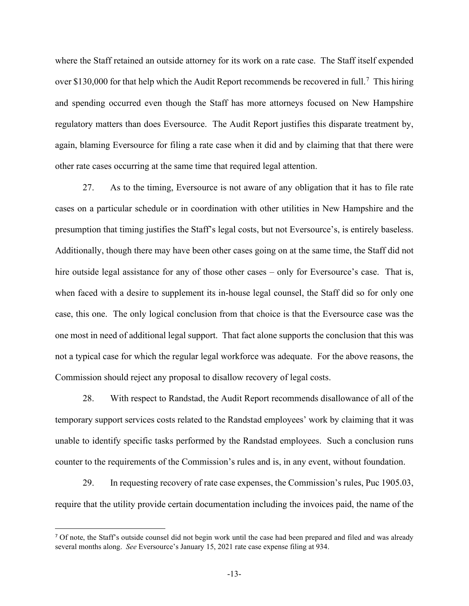where the Staff retained an outside attorney for its work on a rate case. The Staff itself expended over \$130,000 for that help which the Audit Report recommends be recovered in full.<sup>[7](#page-12-0)</sup> This hiring and spending occurred even though the Staff has more attorneys focused on New Hampshire regulatory matters than does Eversource. The Audit Report justifies this disparate treatment by, again, blaming Eversource for filing a rate case when it did and by claiming that that there were other rate cases occurring at the same time that required legal attention.

27. As to the timing, Eversource is not aware of any obligation that it has to file rate cases on a particular schedule or in coordination with other utilities in New Hampshire and the presumption that timing justifies the Staff's legal costs, but not Eversource's, is entirely baseless. Additionally, though there may have been other cases going on at the same time, the Staff did not hire outside legal assistance for any of those other cases – only for Eversource's case. That is, when faced with a desire to supplement its in-house legal counsel, the Staff did so for only one case, this one. The only logical conclusion from that choice is that the Eversource case was the one most in need of additional legal support. That fact alone supports the conclusion that this was not a typical case for which the regular legal workforce was adequate. For the above reasons, the Commission should reject any proposal to disallow recovery of legal costs.

28. With respect to Randstad, the Audit Report recommends disallowance of all of the temporary support services costs related to the Randstad employees' work by claiming that it was unable to identify specific tasks performed by the Randstad employees. Such a conclusion runs counter to the requirements of the Commission's rules and is, in any event, without foundation.

29. In requesting recovery of rate case expenses, the Commission's rules, Puc 1905.03, require that the utility provide certain documentation including the invoices paid, the name of the

<span id="page-12-0"></span><sup>&</sup>lt;sup>7</sup> Of note, the Staff's outside counsel did not begin work until the case had been prepared and filed and was already several months along. *See* Eversource's January 15, 2021 rate case expense filing at 934.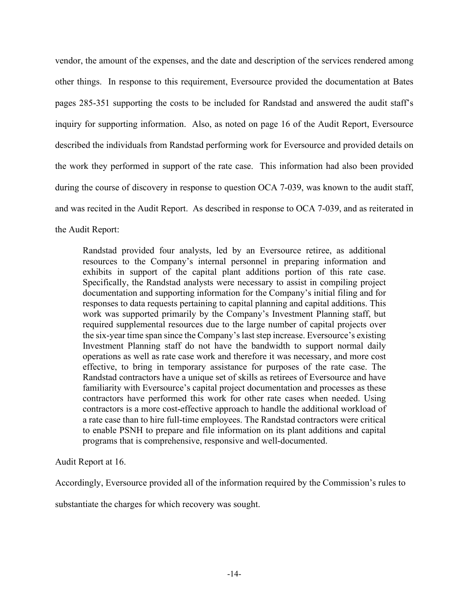vendor, the amount of the expenses, and the date and description of the services rendered among other things. In response to this requirement, Eversource provided the documentation at Bates pages 285-351 supporting the costs to be included for Randstad and answered the audit staff's inquiry for supporting information. Also, as noted on page 16 of the Audit Report, Eversource described the individuals from Randstad performing work for Eversource and provided details on the work they performed in support of the rate case. This information had also been provided during the course of discovery in response to question OCA 7-039, was known to the audit staff, and was recited in the Audit Report. As described in response to OCA 7-039, and as reiterated in the Audit Report:

Randstad provided four analysts, led by an Eversource retiree, as additional resources to the Company's internal personnel in preparing information and exhibits in support of the capital plant additions portion of this rate case. Specifically, the Randstad analysts were necessary to assist in compiling project documentation and supporting information for the Company's initial filing and for responses to data requests pertaining to capital planning and capital additions. This work was supported primarily by the Company's Investment Planning staff, but required supplemental resources due to the large number of capital projects over the six-year time span since the Company's last step increase. Eversource's existing Investment Planning staff do not have the bandwidth to support normal daily operations as well as rate case work and therefore it was necessary, and more cost effective, to bring in temporary assistance for purposes of the rate case. The Randstad contractors have a unique set of skills as retirees of Eversource and have familiarity with Eversource's capital project documentation and processes as these contractors have performed this work for other rate cases when needed. Using contractors is a more cost-effective approach to handle the additional workload of a rate case than to hire full-time employees. The Randstad contractors were critical to enable PSNH to prepare and file information on its plant additions and capital programs that is comprehensive, responsive and well-documented.

Audit Report at 16.

Accordingly, Eversource provided all of the information required by the Commission's rules to

substantiate the charges for which recovery was sought.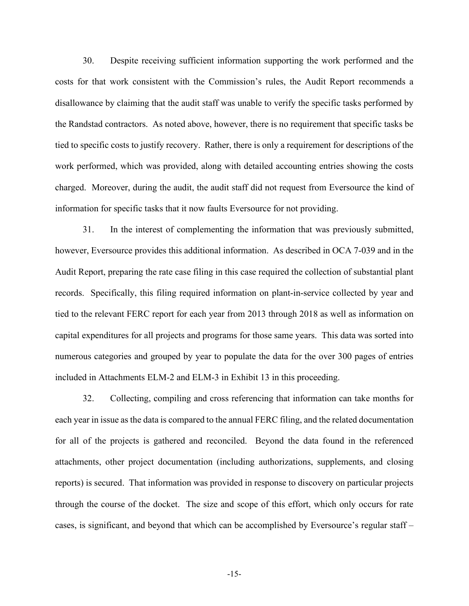30. Despite receiving sufficient information supporting the work performed and the costs for that work consistent with the Commission's rules, the Audit Report recommends a disallowance by claiming that the audit staff was unable to verify the specific tasks performed by the Randstad contractors. As noted above, however, there is no requirement that specific tasks be tied to specific costs to justify recovery. Rather, there is only a requirement for descriptions of the work performed, which was provided, along with detailed accounting entries showing the costs charged. Moreover, during the audit, the audit staff did not request from Eversource the kind of information for specific tasks that it now faults Eversource for not providing.

31. In the interest of complementing the information that was previously submitted, however, Eversource provides this additional information. As described in OCA 7-039 and in the Audit Report, preparing the rate case filing in this case required the collection of substantial plant records. Specifically, this filing required information on plant-in-service collected by year and tied to the relevant FERC report for each year from 2013 through 2018 as well as information on capital expenditures for all projects and programs for those same years. This data was sorted into numerous categories and grouped by year to populate the data for the over 300 pages of entries included in Attachments ELM-2 and ELM-3 in Exhibit 13 in this proceeding.

32. Collecting, compiling and cross referencing that information can take months for each year in issue as the data is compared to the annual FERC filing, and the related documentation for all of the projects is gathered and reconciled. Beyond the data found in the referenced attachments, other project documentation (including authorizations, supplements, and closing reports) is secured. That information was provided in response to discovery on particular projects through the course of the docket. The size and scope of this effort, which only occurs for rate cases, is significant, and beyond that which can be accomplished by Eversource's regular staff –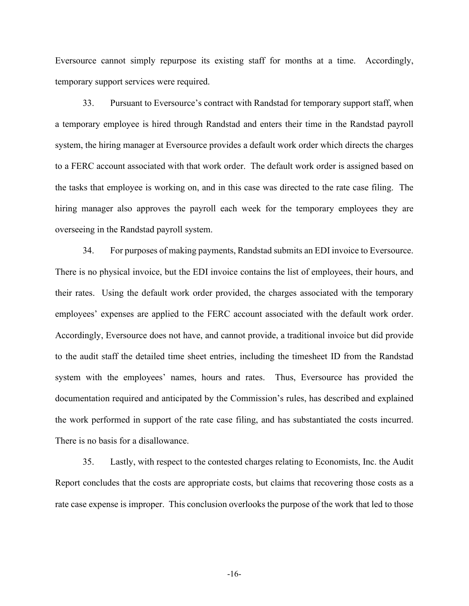Eversource cannot simply repurpose its existing staff for months at a time. Accordingly, temporary support services were required.

33. Pursuant to Eversource's contract with Randstad for temporary support staff, when a temporary employee is hired through Randstad and enters their time in the Randstad payroll system, the hiring manager at Eversource provides a default work order which directs the charges to a FERC account associated with that work order. The default work order is assigned based on the tasks that employee is working on, and in this case was directed to the rate case filing. The hiring manager also approves the payroll each week for the temporary employees they are overseeing in the Randstad payroll system.

34. For purposes of making payments, Randstad submits an EDI invoice to Eversource. There is no physical invoice, but the EDI invoice contains the list of employees, their hours, and their rates. Using the default work order provided, the charges associated with the temporary employees' expenses are applied to the FERC account associated with the default work order. Accordingly, Eversource does not have, and cannot provide, a traditional invoice but did provide to the audit staff the detailed time sheet entries, including the timesheet ID from the Randstad system with the employees' names, hours and rates. Thus, Eversource has provided the documentation required and anticipated by the Commission's rules, has described and explained the work performed in support of the rate case filing, and has substantiated the costs incurred. There is no basis for a disallowance.

35. Lastly, with respect to the contested charges relating to Economists, Inc. the Audit Report concludes that the costs are appropriate costs, but claims that recovering those costs as a rate case expense is improper. This conclusion overlooks the purpose of the work that led to those

-16-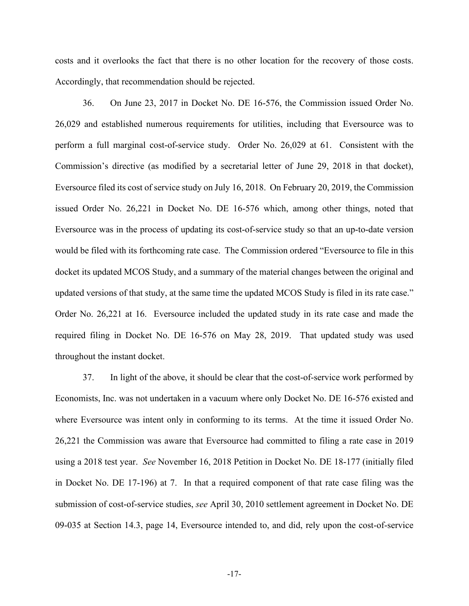costs and it overlooks the fact that there is no other location for the recovery of those costs. Accordingly, that recommendation should be rejected.

36. On June 23, 2017 in Docket No. DE 16-576, the Commission issued Order No. 26,029 and established numerous requirements for utilities, including that Eversource was to perform a full marginal cost-of-service study. Order No. 26,029 at 61. Consistent with the Commission's directive (as modified by a secretarial letter of June 29, 2018 in that docket), Eversource filed its cost of service study on July 16, 2018. On February 20, 2019, the Commission issued Order No. 26,221 in Docket No. DE 16-576 which, among other things, noted that Eversource was in the process of updating its cost-of-service study so that an up-to-date version would be filed with its forthcoming rate case. The Commission ordered "Eversource to file in this docket its updated MCOS Study, and a summary of the material changes between the original and updated versions of that study, at the same time the updated MCOS Study is filed in its rate case." Order No. 26,221 at 16. Eversource included the updated study in its rate case and made the required filing in Docket No. DE 16-576 on May 28, 2019. That updated study was used throughout the instant docket.

37. In light of the above, it should be clear that the cost-of-service work performed by Economists, Inc. was not undertaken in a vacuum where only Docket No. DE 16-576 existed and where Eversource was intent only in conforming to its terms. At the time it issued Order No. 26,221 the Commission was aware that Eversource had committed to filing a rate case in 2019 using a 2018 test year. *See* November 16, 2018 Petition in Docket No. DE 18-177 (initially filed in Docket No. DE 17-196) at 7. In that a required component of that rate case filing was the submission of cost-of-service studies, *see* April 30, 2010 settlement agreement in Docket No. DE 09-035 at Section 14.3, page 14, Eversource intended to, and did, rely upon the cost-of-service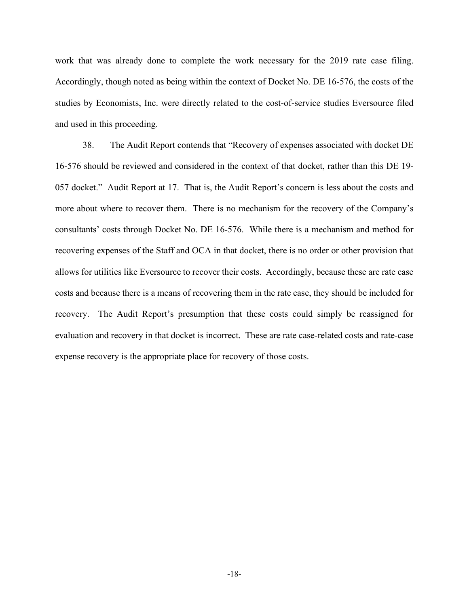work that was already done to complete the work necessary for the 2019 rate case filing. Accordingly, though noted as being within the context of Docket No. DE 16-576, the costs of the studies by Economists, Inc. were directly related to the cost-of-service studies Eversource filed and used in this proceeding.

38. The Audit Report contends that "Recovery of expenses associated with docket DE 16-576 should be reviewed and considered in the context of that docket, rather than this DE 19- 057 docket." Audit Report at 17. That is, the Audit Report's concern is less about the costs and more about where to recover them. There is no mechanism for the recovery of the Company's consultants' costs through Docket No. DE 16-576. While there is a mechanism and method for recovering expenses of the Staff and OCA in that docket, there is no order or other provision that allows for utilities like Eversource to recover their costs. Accordingly, because these are rate case costs and because there is a means of recovering them in the rate case, they should be included for recovery. The Audit Report's presumption that these costs could simply be reassigned for evaluation and recovery in that docket is incorrect. These are rate case-related costs and rate-case expense recovery is the appropriate place for recovery of those costs.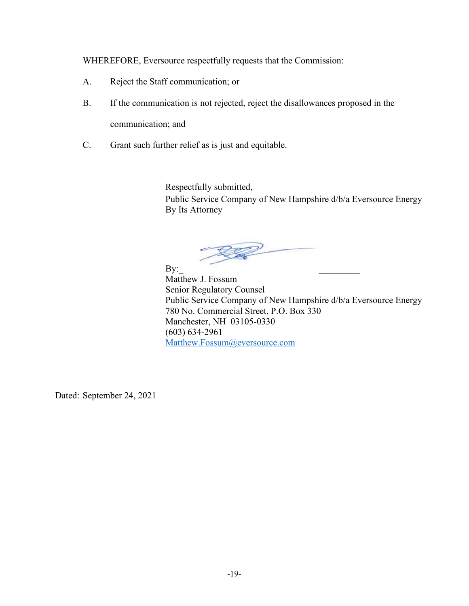WHEREFORE, Eversource respectfully requests that the Commission:

- A. Reject the Staff communication; or
- B. If the communication is not rejected, reject the disallowances proposed in the communication; and
- C. Grant such further relief as is just and equitable.

Respectfully submitted, Public Service Company of New Hampshire d/b/a Eversource Energy By Its Attorney

 $\mathbf{B} \mathbf{y}$ : Matthew J. Fossum Senior Regulatory Counsel Public Service Company of New Hampshire d/b/a Eversource Energy 780 No. Commercial Street, P.O. Box 330 Manchester, NH 03105-0330 (603) 634-2961 [Matthew.Fossum@eversource.com](mailto:Matthew.Fossum@eversource.com)

Dated: September 24, 2021